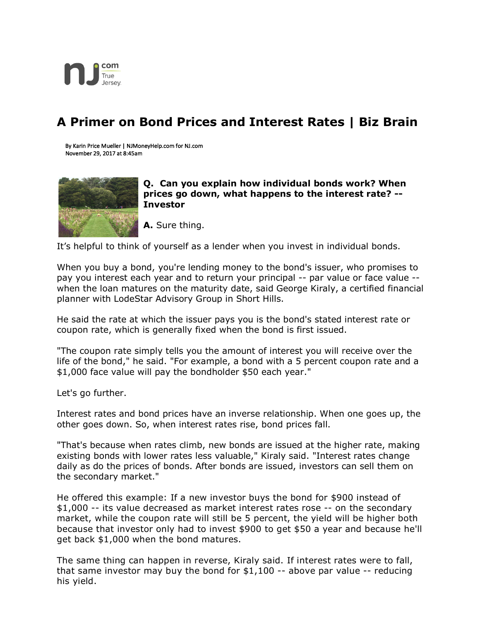

## **A Primer on Bond Prices and Interest Rates | Biz Brain**

By Karin Price Mueller | NJMoneyHelp.com for NJ.com November 29, 2017 at 8:45am



**Q. Can you explain how individual bonds work? When prices go down, what happens to the interest rate? -- Investor**

**A.** Sure thing.

It's helpful to think of yourself as a lender when you invest in individual bonds.

When you buy a bond, you're lending money to the bond's issuer, who promises to pay you interest each year and to return your principal -- par value or face value - when the loan matures on the maturity date, said George Kiraly, a certified financial planner with LodeStar Advisory Group in Short Hills.

He said the rate at which the issuer pays you is the bond's stated interest rate or coupon rate, which is generally fixed when the bond is first issued.

"The coupon rate simply tells you the amount of interest you will receive over the life of the bond," he said. "For example, a bond with a 5 percent coupon rate and a \$1,000 face value will pay the bondholder \$50 each year."

Let's go further.

Interest rates and bond prices have an inverse relationship. When one goes up, the other goes down. So, when interest rates rise, bond prices fall.

"That's because when rates climb, new bonds are issued at the higher rate, making existing bonds with lower rates less valuable," Kiraly said. "Interest rates change daily as do the prices of bonds. After bonds are issued, investors can sell them on the secondary market."

He offered this example: If a new investor buys the bond for \$900 instead of \$1,000 -- its value decreased as market interest rates rose -- on the secondary market, while the coupon rate will still be 5 percent, the yield will be higher both because that investor only had to invest \$900 to get \$50 a year and because he'll get back \$1,000 when the bond matures.

The same thing can happen in reverse, Kiraly said. If interest rates were to fall, that same investor may buy the bond for \$1,100 -- above par value -- reducing his yield.